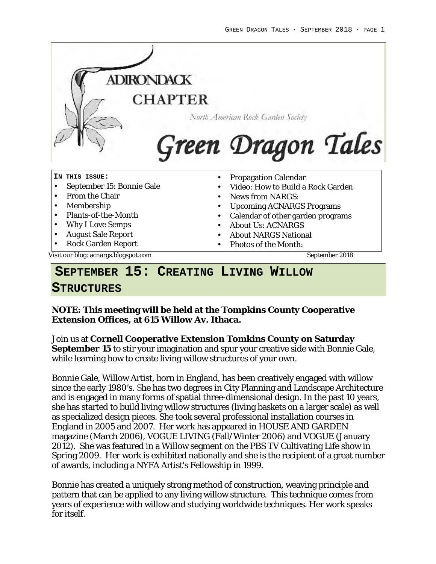

#### **SEPTEMBER 15: CREATING LIVING WILLOW**

#### **STRUCTURES**

**NOTE: This meeting will be held at the Tompkins County Cooperative Extension Offices, at 615 Willow Av. Ithaca.**

Join us at **Cornell Cooperative Extension Tomkins County on Saturday September 15** to stir your imagination and spur your creative side with Bonnie Gale, while learning how to create living willow structures of your own.

Bonnie Gale, Willow Artist, born in England, has been creatively engaged with willow since the early 1980's. She has two degrees in City Planning and Landscape Architecture and is engaged in many forms of spatial three-dimensional design. In the past 10 years, she has started to build living willow structures (living baskets on a larger scale) as well as specialized design pieces. She took several professional installation courses in England in 2005 and 2007. Her work has appeared in HOUSE AND GARDEN magazine (March 2006), VOGUE LIVING (Fall/Winter 2006) and VOGUE (January 2012). She was featured in a Willow segment on the PBS TV Cultivating Life show in Spring 2009. Her work is exhibited nationally and she is the recipient of a great number of awards, including a NYFA Artist's Fellowship in 1999.

Bonnie has created a uniquely strong method of construction, weaving principle and pattern that can be applied to any living willow structure. This technique comes from years of experience with willow and studying worldwide techniques. Her work speaks for itself.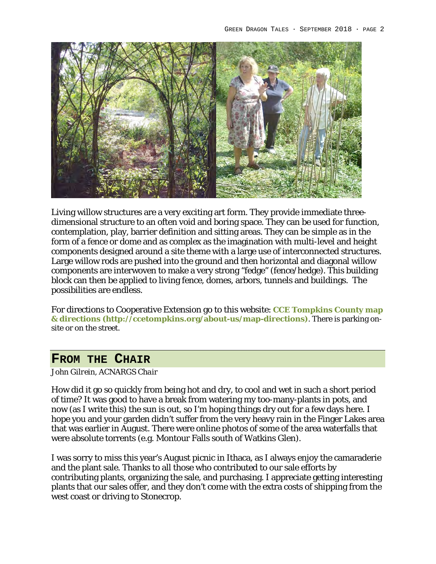

Living willow structures are a very exciting art form. They provide immediate threedimensional structure to an often void and boring space. They can be used for function, contemplation, play, barrier definition and sitting areas. They can be simple as in the form of a fence or dome and as complex as the imagination with multi-level and height components designed around a site theme with a large use of interconnected structures. Large willow rods are pushed into the ground and then horizontal and diagonal willow components are interwoven to make a very strong "fedge" (fence/hedge). This building block can then be applied to living fence, domes, arbors, tunnels and buildings. The possibilities are endless.

For directions to Cooperative Extension go to this website: **CCE Tompkins County map & directions (http://ccetompkins.org/about-us/map-directions)**. There is parking onsite or on the street.

#### **FROM THE CHAIR**

*John Gilrein, ACNARGS Chair*

How did it go so quickly from being hot and dry, to cool and wet in such a short period of time? It was good to have a break from watering my too-many-plants in pots, and now (as I write this) the sun is out, so I'm hoping things dry out for a few days here. I hope you and your garden didn't suffer from the very heavy rain in the Finger Lakes area that was earlier in August. There were online photos of some of the area waterfalls that were absolute torrents (e.g. Montour Falls south of Watkins Glen).

I was sorry to miss this year's August picnic in Ithaca, as I always enjoy the camaraderie and the plant sale. Thanks to all those who contributed to our sale efforts by contributing plants, organizing the sale, and purchasing. I appreciate getting interesting plants that our sales offer, and they don't come with the extra costs of shipping from the west coast or driving to Stonecrop.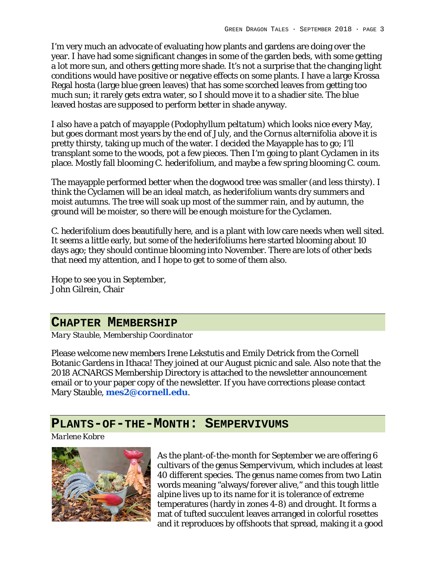I'm very much an advocate of evaluating how plants and gardens are doing over the year. I have had some significant changes in some of the garden beds, with some getting a lot more sun, and others getting more shade. It's not a surprise that the changing light conditions would have positive or negative effects on some plants. I have a large Krossa Regal hosta (large blue green leaves) that has some scorched leaves from getting too much sun; it rarely gets extra water, so I should move it to a shadier site. The blue leaved hostas are supposed to perform better in shade anyway.

I also have a patch of mayapple (*Podophyllum peltatum*) which looks nice every May, but goes dormant most years by the end of July, and the *Cornus alternifolia* above it is pretty thirsty, taking up much of the water. I decided the Mayapple has to go; I'll transplant some to the woods, pot a few pieces. Then I'm going to plant Cyclamen in its place. Mostly fall blooming *C. hederifolium*, and maybe a few spring blooming *C. coum*.

The mayapple performed better when the dogwood tree was smaller (and less thirsty). I think the Cyclamen will be an ideal match, as *hederifolium* wants dry summers and moist autumns. The tree will soak up most of the summer rain, and by autumn, the ground will be moister, so there will be enough moisture for the Cyclamen.

*C. hederifolium* does beautifully here, and is a plant with low care needs when well sited. It seems a little early, but some of the *hederifoliums* here started blooming about 10 days ago; they should continue blooming into November. There are lots of other beds that need my attention, and I hope to get to some of them also.

Hope to see you in September, John Gilrein, Chair

#### **CHAPTER MEMBERSHIP**

*Mary Stauble, Membership Coordinator*

Please welcome new members Irene Lekstutis and Emily Detrick from the Cornell Botanic Gardens in Ithaca! They joined at our August picnic and sale. Also note that the 2018 ACNARGS Membership Directory is attached to the newsletter announcement email or to your paper copy of the newsletter. If you have corrections please contact Mary Stauble, **mes2@cornell.edu**.

#### **PLANTS-OF-THE-MONTH: SEMPERVIVUMS**

*Marlene Kobre*



As the plant-of-the-month for September we are offering 6 cultivars of the genus *Sempervivum*, which includes at least 40 different species. The genus name comes from two Latin words meaning "always/forever alive," and this tough little alpine lives up to its name for it is tolerance of extreme temperatures (hardy in zones 4-8) and drought. It forms a mat of tufted succulent leaves arranged in colorful rosettes and it reproduces by offshoots that spread, making it a good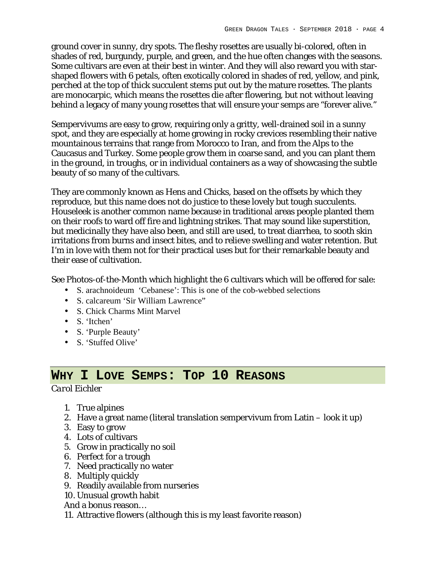ground cover in sunny, dry spots. The fleshy rosettes are usually bi-colored, often in shades of red, burgundy, purple, and green, and the hue often changes with the seasons. Some cultivars are even at their best in winter. And they will also reward you with starshaped flowers with 6 petals, often exotically colored in shades of red, yellow, and pink, perched at the top of thick succulent stems put out by the mature rosettes. The plants are monocarpic, which means the rosettes die after flowering, but not without leaving behind a legacy of many young rosettes that will ensure your semps are "forever alive."

Sempervivums are easy to grow, requiring only a gritty, well-drained soil in a sunny spot, and they are especially at home growing in rocky crevices resembling their native mountainous terrains that range from Morocco to Iran, and from the Alps to the Caucasus and Turkey. Some people grow them in coarse sand, and you can plant them in the ground, in troughs, or in individual containers as a way of showcasing the subtle beauty of so many of the cultivars.

They are commonly known as Hens and Chicks, based on the offsets by which they reproduce, but this name does not do justice to these lovely but tough succulents. Houseleek is another common name because in traditional areas people planted them on their roofs to ward off fire and lightning strikes. That may sound like superstition, but medicinally they have also been, and still are used, to treat diarrhea, to sooth skin irritations from burns and insect bites, and to relieve swelling and water retention. But I'm in love with them not for their practical uses but for their remarkable beauty and their ease of cultivation.

See Photos-of-the-Month which highlight the 6 cultivars which will be offered for sale:

- S. arachnoideum 'Cebanese': This is one of the cob-webbed selections
- S. calcareum 'Sir William Lawrence"
- S. Chick Charms Mint Marvel
- S. 'Itchen'
- S. 'Purple Beauty'
- S. 'Stuffed Olive'

### **WHY I LOVE SEMPS: TOP 10 REASONS**

*Carol Eichler*

- 1. True alpines
- 2. Have a great name (literal translation sempervivum from Latin look it up)
- 3. Easy to grow
- 4. Lots of cultivars
- 5. Grow in practically no soil
- 6. Perfect for a trough
- 7. Need practically no water
- 8. Multiply quickly
- 9. Readily available from nurseries
- 10. Unusual growth habit
- And a bonus reason…
- 11. Attractive flowers (although this is my least favorite reason)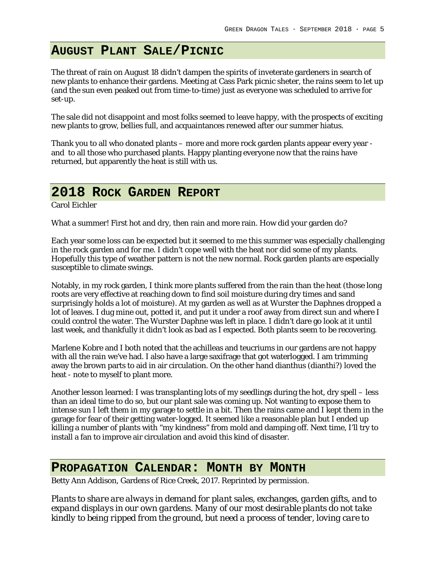# **AUGUST PLANT SALE/PICNIC**

The threat of rain on August 18 didn't dampen the spirits of inveterate gardeners in search of new plants to enhance their gardens. Meeting at Cass Park picnic sheter, the rains seem to let up (and the sun even peaked out from time-to-time) just as everyone was scheduled to arrive for set-up.

The sale did not disappoint and most folks seemed to leave happy, with the prospects of exciting new plants to grow, bellies full, and acquaintances renewed after our summer hiatus.

Thank you to all who donated plants – more and more rock garden plants appear every year and to all those who purchased plants. Happy planting everyone now that the rains have returned, but apparently the heat is still with us.

### **2018 ROCK GARDEN REPORT**

Carol Eichler

What a summer! First hot and dry, then rain and more rain. How did your garden do?

Each year some loss can be expected but it seemed to me this summer was especially challenging in the rock garden and for me. I didn't cope well with the heat nor did some of my plants. Hopefully this type of weather pattern is not the new normal. Rock garden plants are especially susceptible to climate swings.

Notably, in my rock garden, I think more plants suffered from the rain than the heat (those long roots are very effective at reaching down to find soil moisture during dry times and sand surprisingly holds a lot of moisture). At my garden as well as at Wurster the Daphnes dropped a lot of leaves. I dug mine out, potted it, and put it under a roof away from direct sun and where I could control the water. The Wurster Daphne was left in place. I didn't dare go look at it until last week, and thankfully it didn't look as bad as I expected. Both plants seem to be recovering.

Marlene Kobre and I both noted that the achilleas and teucriums in our gardens are not happy with all the rain we've had. I also have a large saxifrage that got waterlogged. I am trimming away the brown parts to aid in air circulation. On the other hand dianthus (dianthi?) loved the heat - note to myself to plant more.

Another lesson learned: I was transplanting lots of my seedlings during the hot, dry spell – less than an ideal time to do so, but our plant sale was coming up. Not wanting to expose them to intense sun I left them in my garage to settle in a bit. Then the rains came and I kept them in the garage for fear of their getting water-logged. It seemed like a reasonable plan but I ended up killing a number of plants with "my kindness" from mold and damping off. Next time, I'll try to install a fan to improve air circulation and avoid this kind of disaster.

#### **PROPAGATION CALENDAR: MONTH BY MONTH**

Betty Ann Addison, Gardens of Rice Creek, 2017. Reprinted by permission.

*Plants to share are always in demand for plant sales, exchanges, garden gifts, and to expand displays in our own gardens. Many of our most desirable plants do not take kindly to being ripped from the ground, but need a process of tender, loving care to*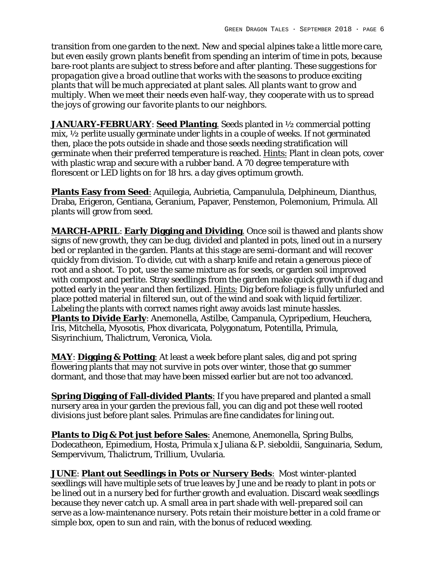*transition from one garden to the next. New and special alpines take a little more care, but even easily grown plants benefit from spending an interim of time in pots, because bare-root plants are subject to stress before and after planting. These suggestions for propagation give a broad outline that works with the seasons to produce exciting plants that will be much appreciated at plant sales. All plants want to grow and multiply. When we meet their needs even half-way, they cooperate with us to spread the joys of growing our favorite plants to our neighbors.*

*JANUARY-FEBRUARY*: **Seed Planting**. Seeds planted in ½ commercial potting mix, ½ perlite usually germinate under lights in a couple of weeks. If not germinated then, place the pots outside in shade and those seeds needing stratification will germinate when their preferred temperature is reached. Hints: Plant in clean pots, cover with plastic wrap and secure with a rubber band. A 70 degree temperature with florescent or LED lights on for 18 hrs. a day gives optimum growth.

**Plants Easy from Seed**: Aquilegia, Aubrietia, Campanulula, Delphineum, Dianthus, Draba, Erigeron, Gentiana, Geranium, Papaver, Penstemon, Polemonium, Primula. All plants will grow from seed.

*MARCH-APRIL*: **Early Digging and Dividing**. Once soil is thawed and plants show signs of new growth, they can be dug, divided and planted in pots, lined out in a nursery bed or replanted in the garden. Plants at this stage are semi-dormant and will recover quickly from division. To divide, cut with a sharp knife and retain a generous piece of root and a shoot. To pot, use the same mixture as for seeds, or garden soil improved with compost and perlite. Stray seedlings from the garden make quick growth if dug and potted early in the year and then fertilized. Hints: Dig before foliage is fully unfurled and place potted material in filtered sun, out of the wind and soak with liquid fertilizer. Labeling the plants with correct names right away avoids last minute hassles. **Plants to Divide Early**: Anemonella, Astilbe, Campanula, Cypripedium, Heuchera, Iris, Mitchella, Myosotis, Phox divaricata, Polygonatum, Potentilla, Primula, Sisyrinchium, Thalictrum, Veronica, Viola.

*MAY*: **Digging & Potting**: At least a week before plant sales, dig and pot spring flowering plants that may not survive in pots over winter, those that go summer dormant, and those that may have been missed earlier but are not too advanced.

**Spring Digging of Fall-divided Plants**: If you have prepared and planted a small nursery area in your garden the previous fall, you can dig and pot these well rooted divisions just before plant sales. Primulas are fine candidates for lining out.

**Plants to Dig & Pot just before Sales**: Anemone, Anemonella, Spring Bulbs, Dodecatheon, Epimedium, Hosta, Primula x Juliana & P. sieboldii, Sanguinaria, Sedum, Sempervivum, Thalictrum, Trillium, Uvularia.

*JUNE*: **Plant out Seedlings in Pots or Nursery Beds**: Most winter-planted seedlings will have multiple sets of true leaves by June and be ready to plant in pots or be lined out in a nursery bed for further growth and evaluation. Discard weak seedlings because they never catch up. A small area in part shade with well-prepared soil can serve as a low-maintenance nursery. Pots retain their moisture better in a cold frame or simple box, open to sun and rain, with the bonus of reduced weeding.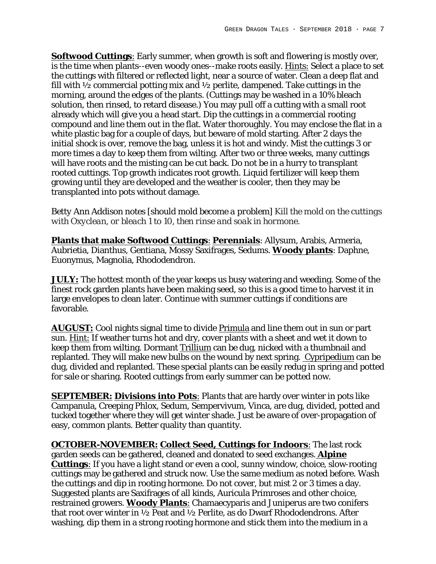**Softwood Cuttings**: Early summer, when growth is soft and flowering is mostly over, is the time when plants--even woody ones--make roots easily. Hints: Select a place to set the cuttings with filtered or reflected light, near a source of water. Clean a deep flat and fill with ½ commercial potting mix and ½ perlite, dampened. Take cuttings in the morning, around the edges of the plants. (Cuttings may be washed in a 10% bleach solution, then rinsed, to retard disease.) You may pull off a cutting with a small root already which will give you a head start. Dip the cuttings in a commercial rooting compound and line them out in the flat. Water thoroughly. You may enclose the flat in a white plastic bag for a couple of days, but beware of mold starting. After 2 days the initial shock is over, remove the bag, unless it is hot and windy. Mist the cuttings 3 or more times a day to keep them from wilting. After two or three weeks, many cuttings will have roots and the misting can be cut back. Do not be in a hurry to transplant rooted cuttings. Top growth indicates root growth. Liquid fertilizer will keep them growing until they are developed and the weather is cooler, then they may be transplanted into pots without damage.

*Betty Ann Addison notes [should mold become a problem] Kill the mold on the cuttings with Oxyclean, or bleach 1 to 10, then rinse and soak in hormone.*

**Plants that make Softwood Cuttings**: **Perennials**: Allysum, Arabis, Armeria, Aubrietia, Dianthus, Gentiana, Mossy Saxifrages, Sedums. **Woody plants**: Daphne, Euonymus, Magnolia, Rhododendron.

*JULY:* The hottest month of the year keeps us busy watering and weeding. Some of the finest rock garden plants have been making seed, so this is a good time to harvest it in large envelopes to clean later. Continue with summer cuttings if conditions are favorable.

*AUGUST:* Cool nights signal time to divide Primula and line them out in sun or part sun. Hint: If weather turns hot and dry, cover plants with a sheet and wet it down to keep them from wilting. Dormant Trillium can be dug, nicked with a thumbnail and replanted. They will make new bulbs on the wound by next spring. Cypripedium can be dug, divided and replanted. These special plants can be easily redug in spring and potted for sale or sharing. Rooted cuttings from early summer can be potted now.

*SEPTEMBER:* **Divisions into Pots**: Plants that are hardy over winter in pots like Campanula, Creeping Phlox, Sedum, Sempervivum, Vinca, are dug, divided, potted and tucked together where they will get winter shade. Just be aware of over-propagation of easy, common plants. Better quality than quantity.

*OCTOBER-NOVEMBER:* **Collect Seed, Cuttings for Indoors**: The last rock garden seeds can be gathered, cleaned and donated to seed exchanges. **Alpine Cuttings**: If you have a light stand or even a cool, sunny window, choice, slow-rooting cuttings may be gathered and struck now. Use the same medium as noted before. Wash the cuttings and dip in rooting hormone. Do not cover, but mist 2 or 3 times a day. Suggested plants are Saxifrages of all kinds, Auricula Primroses and other choice, restrained growers. **Woody Plants**: Chamaecyparis and Juniperus are two conifers that root over winter in ½ Peat and ½ Perlite, as do Dwarf Rhododendrons. After washing, dip them in a strong rooting hormone and stick them into the medium in a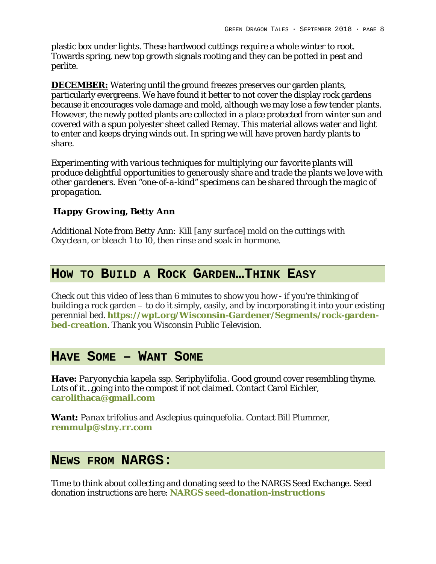plastic box under lights. These hardwood cuttings require a whole winter to root. Towards spring, new top growth signals rooting and they can be potted in peat and perlite.

*DECEMBER:* Watering until the ground freezes preserves our garden plants, particularly evergreens. We have found it better to not cover the display rock gardens because it encourages vole damage and mold, although we may lose a few tender plants. However, the newly potted plants are collected in a place protected from winter sun and covered with a spun polyester sheet called Remay. This material allows water and light to enter and keeps drying winds out. In spring we will have proven hardy plants to share.

*Experimenting with various techniques for multiplying our favorite plants will produce delightful opportunities to generously share and trade the plants we love with other gardeners. Even "one-of-a-kind" specimens can be shared through the magic of propagation.*

*Happy Growing, Betty Ann*

*Additional Note from Betty Ann: Kill [any surface] mold on the cuttings with Oxyclean, or bleach 1 to 10, then rinse and soak in hormone.*

#### **HOW TO BUILD A ROCK GARDEN…THINK EASY**

Check out this video of less than 6 minutes to show you how - if you're thinking of building a rock garden – to do it simply, easily, and by incorporating it into your existing perennial bed. **https://wpt.org/Wisconsin-Gardener/Segments/rock-gardenbed-creation**. Thank you Wisconsin Public Television.

#### **HAVE SOME – WANT SOME**

**Have:** *Paryonychia kapela ssp. Seriphylifolia.* Good ground cover resembling thyme. Lots of it…going into the compost if not claimed. Contact Carol Eichler, **carolithaca@gmail.com**

**Want:** *Panax trifolius* and *Asclepius quinquefolia*. Contact Bill Plummer, **remmulp@stny.rr.com**

#### **NEWS FROM NARGS:**

Time to think about collecting and donating seed to the NARGS Seed Exchange. Seed donation instructions are here: **NARGS seed-donation-instructions**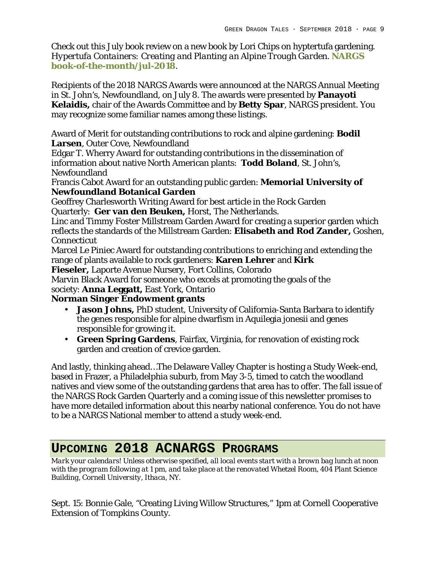Check out this July book review on a new book by Lori Chips on hyptertufa gardening. *Hypertufa Containers: Creating and Planting an Alpine Trough Garden. NARGS book-of-the-month/jul-2018.* 

Recipients of the 2018 NARGS Awards were announced at the NARGS Annual Meeting in St. John's, Newfoundland, on July 8. The awards were presented by **Panayoti Kelaidis,** chair of the Awards Committee and by **Betty Spar**, NARGS president. You may recognize some familiar names among these listings.

Award of Merit for outstanding contributions to rock and alpine gardening: **Bodil Larsen**, Outer Cove, Newfoundland

Edgar T. Wherry Award for outstanding contributions in the dissemination of information about native North American plants: **Todd Boland**, St. John's, **Newfoundland** 

Francis Cabot Award for an outstanding public garden: **Memorial University of Newfoundland Botanical Garden**

Geoffrey Charlesworth Writing Award for best article in the Rock Garden Quarterly: **Ger van den Beuken,** Horst, The Netherlands.

Linc and Timmy Foster Millstream Garden Award for creating a superior garden which reflects the standards of the Millstream Garden: **Elisabeth and Rod Zander,** Goshen, Connecticut

Marcel Le Piniec Award for outstanding contributions to enriching and extending the range of plants available to rock gardeners: **Karen Lehrer** and **Kirk**

**Fieseler,** Laporte Avenue Nursery, Fort Collins, Colorado

Marvin Black Award for someone who excels at promoting the goals of the society: **Anna Leggatt,** East York, Ontario

**Norman Singer Endowment grants**

- **Jason Johns,** PhD student, University of California-Santa Barbara to identify the genes responsible for alpine dwarfism in Aquilegia jonesii and genes responsible for growing it.
- **Green Spring Gardens**, Fairfax, Virginia, for renovation of existing rock garden and creation of crevice garden.

And lastly, thinking ahead…The Delaware Valley Chapter is hosting a Study Week-end, based in Frazer, a Philadelphia suburb, from May 3-5, timed to catch the woodland natives and view some of the outstanding gardens that area has to offer. The fall issue of the NARGS Rock Garden Quarterly and a coming issue of this newsletter promises to have more detailed information about this nearby national conference. You do not have to be a NARGS National member to attend a study week-end.

## **UPCOMING 2018 ACNARGS PROGRAMS**

*Mark your calendars! Unless otherwise specified, all local events start with a brown bag lunch at noon with the program following at 1 pm, and take place at the renovated Whetzel Room, 404 Plant Science Building, Cornell University, Ithaca, NY.*

Sept. 15: Bonnie Gale, "Creating Living Willow Structures," 1pm at Cornell Cooperative Extension of Tompkins County.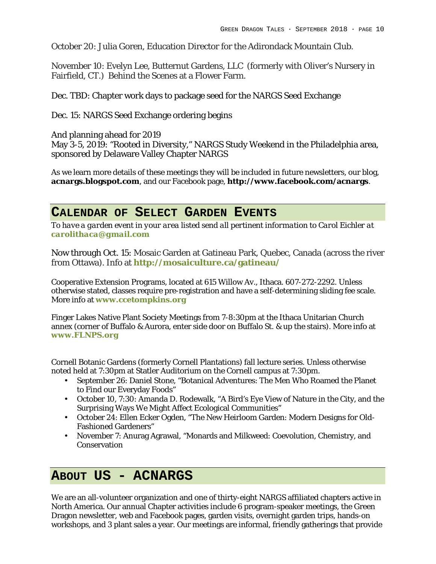October 20: Julia Goren, Education Director for the Adirondack Mountain Club.

November 10: Evelyn Lee, Butternut Gardens, LLC (formerly with Oliver's Nursery in Fairfield, CT.) Behind the Scenes at a Flower Farm.

Dec. TBD: Chapter work days to package seed for the NARGS Seed Exchange

Dec. 15: NARGS Seed Exchange ordering begins

And planning ahead for 2019 May 3-5, 2019: "Rooted in Diversity," NARGS Study Weekend in the Philadelphia area, sponsored by Delaware Valley Chapter NARGS

As we learn more details of these meetings they will be included in future newsletters, our blog, **acnargs.blogspot.com**, and our Facebook page, **http://www.facebook.com/acnargs**.

#### **CALENDAR OF SELECT GARDEN EVENTS**

*To have a garden event in your area listed send all pertinent information to Carol Eichler at carolithaca@gmail.com*

Now through Oct. 15: Mosaic Garden at Gatineau Park, Quebec, Canada (across the river from Ottawa). Info at **http://mosaiculture.ca/gatineau/**

Cooperative Extension Programs, located at 615 Willow Av., Ithaca. 607-272-2292. Unless otherwise stated, classes require pre-registration and have a self-determining sliding fee scale. More info at **www.ccetompkins.org**

Finger Lakes Native Plant Society Meetings from 7-8:30pm at the Ithaca Unitarian Church annex (corner of Buffalo & Aurora, enter side door on Buffalo St. & up the stairs). More info at **www.FLNPS.org**

Cornell Botanic Gardens (formerly Cornell Plantations) fall lecture series. Unless otherwise noted held at 7:30pm at Statler Auditorium on the Cornell campus at 7:30pm.

- September 26: Daniel Stone, "Botanical Adventures: The Men Who Roamed the Planet to Find our Everyday Foods"
- October 10, 7:30: Amanda D. Rodewalk, "A Bird's Eye View of Nature in the City, and the Surprising Ways We Might Affect Ecological Communities"
- October 24: Ellen Ecker Ogden, "The New Heirloom Garden: Modern Designs for Old-Fashioned Gardeners"
- November 7: Anurag Agrawal, "Monards and Milkweed: Coevolution, Chemistry, and Conservation

#### **ABOUT US - ACNARGS**

We are an all-volunteer organization and one of thirty-eight NARGS affiliated chapters active in North America. Our annual Chapter activities include 6 program-speaker meetings, the Green Dragon newsletter, web and Facebook pages, garden visits, overnight garden trips, hands-on workshops, and 3 plant sales a year. Our meetings are informal, friendly gatherings that provide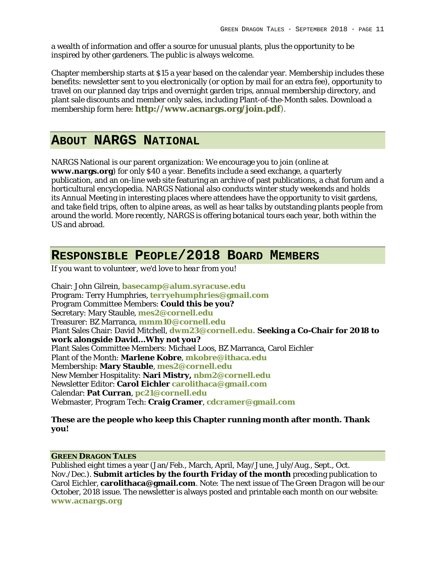a wealth of information and offer a source for unusual plants, plus the opportunity to be inspired by other gardeners. The public is always welcome.

Chapter membership starts at \$15 a year based on the calendar year. Membership includes these benefits: newsletter sent to you electronically (or option by mail for an extra fee), opportunity to travel on our planned day trips and overnight garden trips, annual membership directory, and plant sale discounts and member only sales, including Plant-of-the-Month sales. Download a membership form here: **http://www.acnargs.org/join.pdf**).

#### **ABOUT NARGS NATIONAL**

NARGS National is our parent organization: We encourage you to join (online at **www.nargs.org**) for only \$40 a year. Benefits include a seed exchange, a quarterly publication, and an on-line web site featuring an archive of past publications, a chat forum and a horticultural encyclopedia. NARGS National also conducts winter study weekends and holds its Annual Meeting in interesting places where attendees have the opportunity to visit gardens, and take field trips, often to alpine areas, as well as hear talks by outstanding plants people from around the world. More recently, NARGS is offering botanical tours each year, both within the US and abroad.

#### **RESPONSIBLE PEOPLE/2018 BOARD MEMBERS**

*If you want to volunteer, we'd love to hear from you!*

Chair: John Gilrein, **basecamp@alum.syracuse.edu** Program: Terry Humphries, **terryehumphries@gmail.com** Program Committee Members: **Could this be you?** Secretary: Mary Stauble, **mes2@cornell.edu** Treasurer: BZ Marranca, **mmm10@cornell.edu** Plant Sales Chair: David Mitchell, **dwm23@cornell.edu. Seeking a Co-Chair for 2018 to work alongside David…Why not you?** Plant Sales Committee Members: Michael Loos, BZ Marranca, Carol Eichler Plant of the Month: **Marlene Kobre**, **mkobre@ithaca.edu** Membership: **Mary Stauble**, **mes2@cornell.edu** New Member Hospitality: **Nari Mistry, nbm2@cornell.edu** Newsletter Editor: **Carol Eichler carolithaca@gmail.com** Calendar: **Pat Curran**, **pc21@cornell.edu** Webmaster, Program Tech: **Craig Cramer**, **cdcramer@gmail.com**

**These are the people who keep this Chapter running month after month. Thank you!**

#### **GREEN DRAGON TALES**

Published eight times a year (Jan/Feb., March, April, May/June, July/Aug., Sept., Oct. Nov./Dec.). **Submit articles by the fourth Friday of the month** preceding publication to Carol Eichler, **carolithaca@gmail.com**. Note: The next issue of *The Green Dragon* will be our October, 2018 issue. The newsletter is always posted and printable each month on our website: **www.acnargs.org**